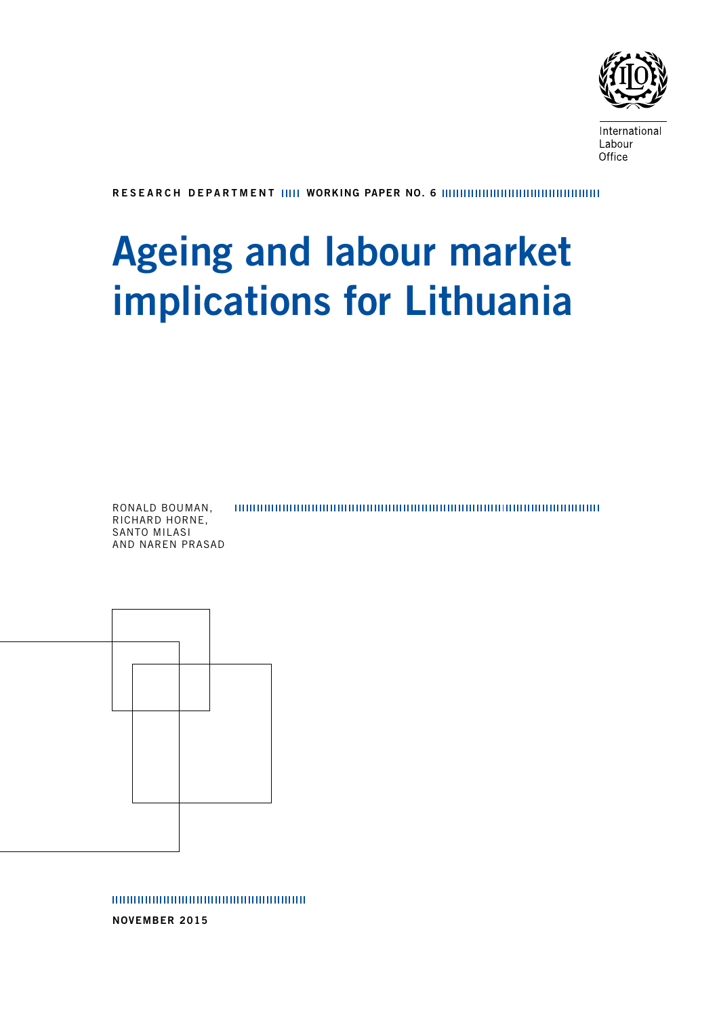

International Labour Office

RESEARCH DEPARTMENT WORKING PAPER NO. 6

# Ageing and labour market implications for Lithuania

RONALD BOUMAN, RICHARD HORNE, SANTO MILASI AND NAREN PRASAD



NOVEMBER 2015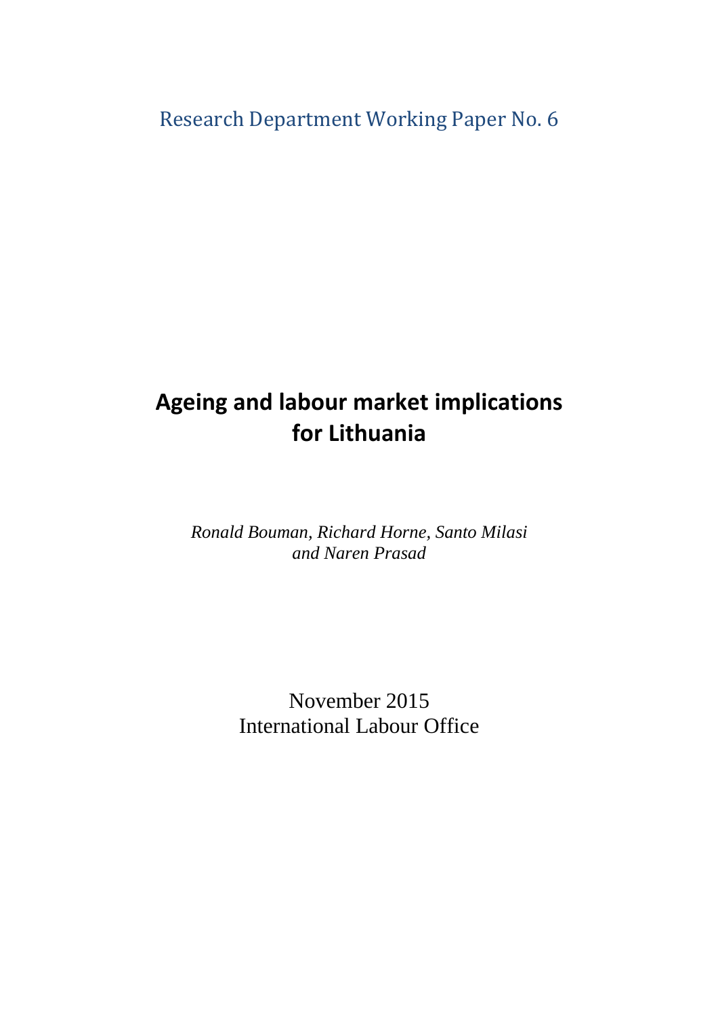# Research Department Working Paper No. 6

# **Ageing and labour market implications for Lithuania**

*Ronald Bouman, Richard Horne, Santo Milasi and Naren Prasad*

> November 2015 International Labour Office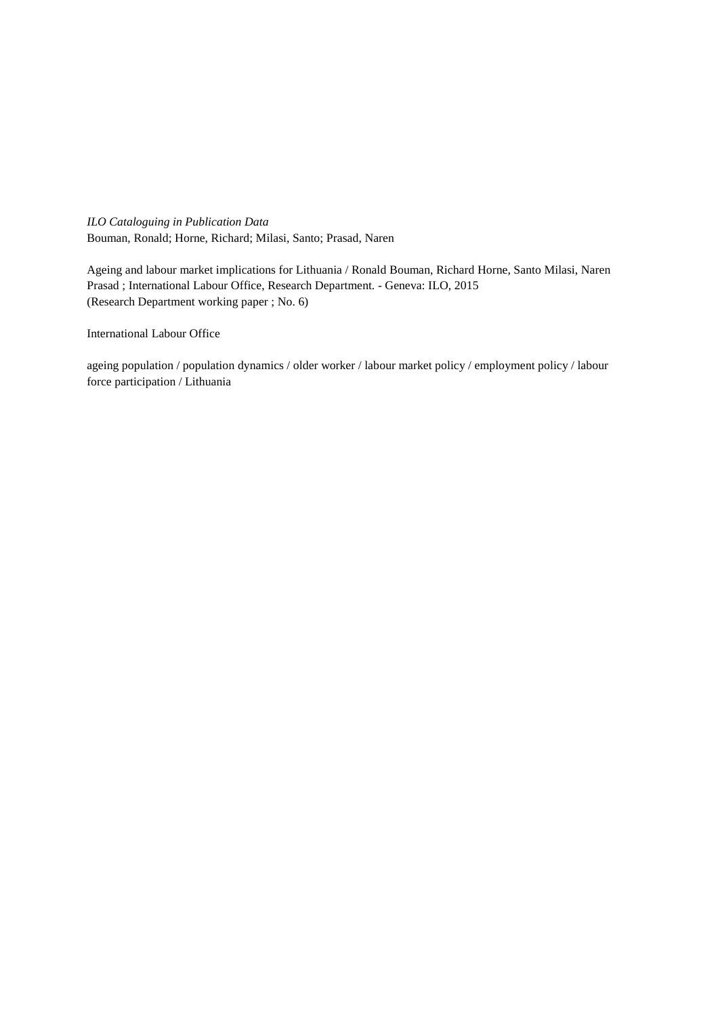*ILO Cataloguing in Publication Data* Bouman, Ronald; Horne, Richard; Milasi, Santo; Prasad, Naren

Ageing and labour market implications for Lithuania / Ronald Bouman, Richard Horne, Santo Milasi, Naren Prasad ; International Labour Office, Research Department. - Geneva: ILO, 2015 (Research Department working paper ; No. 6)

International Labour Office

ageing population / population dynamics / older worker / labour market policy / employment policy / labour force participation / Lithuania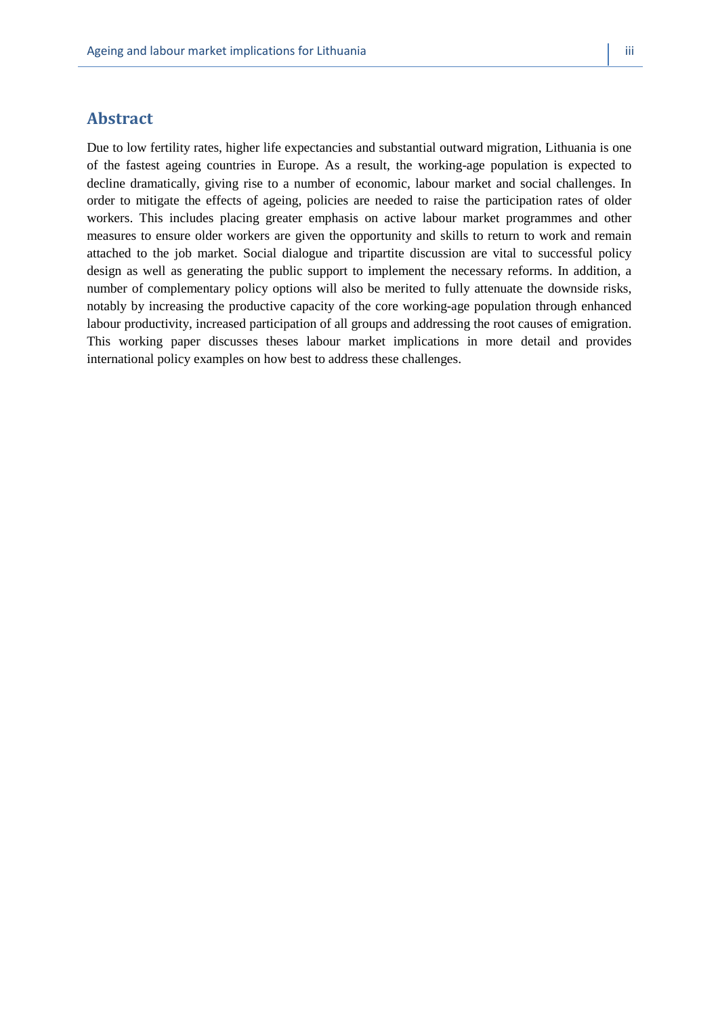# **Abstract**

Due to low fertility rates, higher life expectancies and substantial outward migration, Lithuania is one of the fastest ageing countries in Europe. As a result, the working-age population is expected to decline dramatically, giving rise to a number of economic, labour market and social challenges. In order to mitigate the effects of ageing, policies are needed to raise the participation rates of older workers. This includes placing greater emphasis on active labour market programmes and other measures to ensure older workers are given the opportunity and skills to return to work and remain attached to the job market. Social dialogue and tripartite discussion are vital to successful policy design as well as generating the public support to implement the necessary reforms. In addition, a number of complementary policy options will also be merited to fully attenuate the downside risks, notably by increasing the productive capacity of the core working-age population through enhanced labour productivity, increased participation of all groups and addressing the root causes of emigration. This working paper discusses theses labour market implications in more detail and provides international policy examples on how best to address these challenges.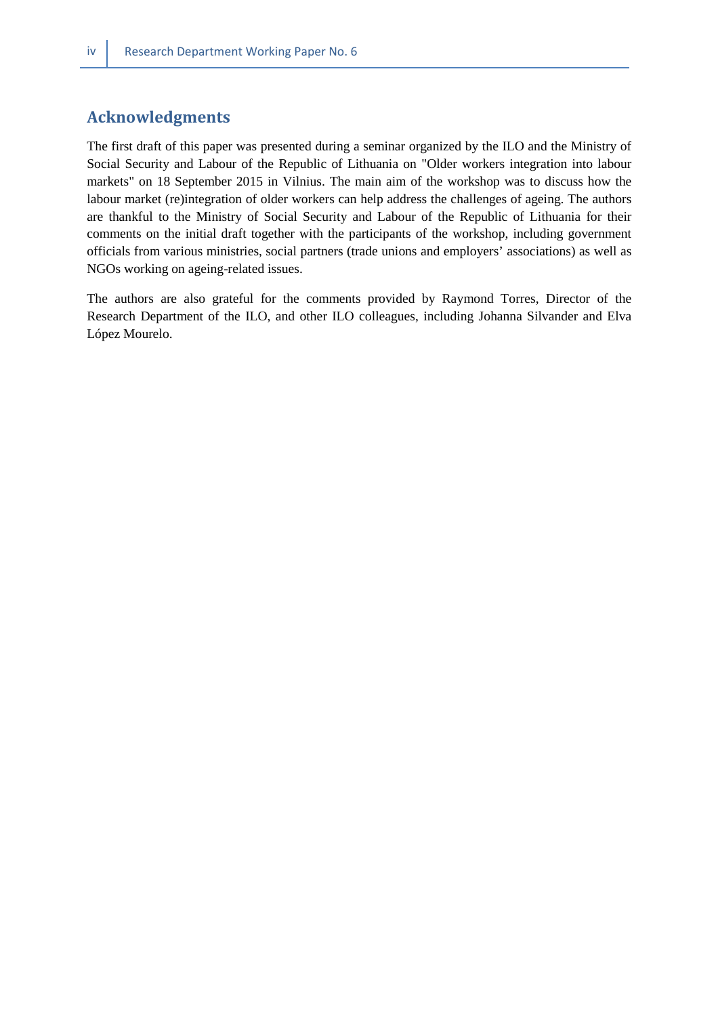# **Acknowledgments**

The first draft of this paper was presented during a seminar organized by the ILO and the Ministry of Social Security and Labour of the Republic of Lithuania on "Older workers integration into labour markets" on 18 September 2015 in Vilnius. The main aim of the workshop was to discuss how the labour market (re)integration of older workers can help address the challenges of ageing. The authors are thankful to the Ministry of Social Security and Labour of the Republic of Lithuania for their comments on the initial draft together with the participants of the workshop, including government officials from various ministries, social partners (trade unions and employers' associations) as well as NGOs working on ageing-related issues.

The authors are also grateful for the comments provided by Raymond Torres, Director of the Research Department of the ILO, and other ILO colleagues, including Johanna Silvander and Elva López Mourelo.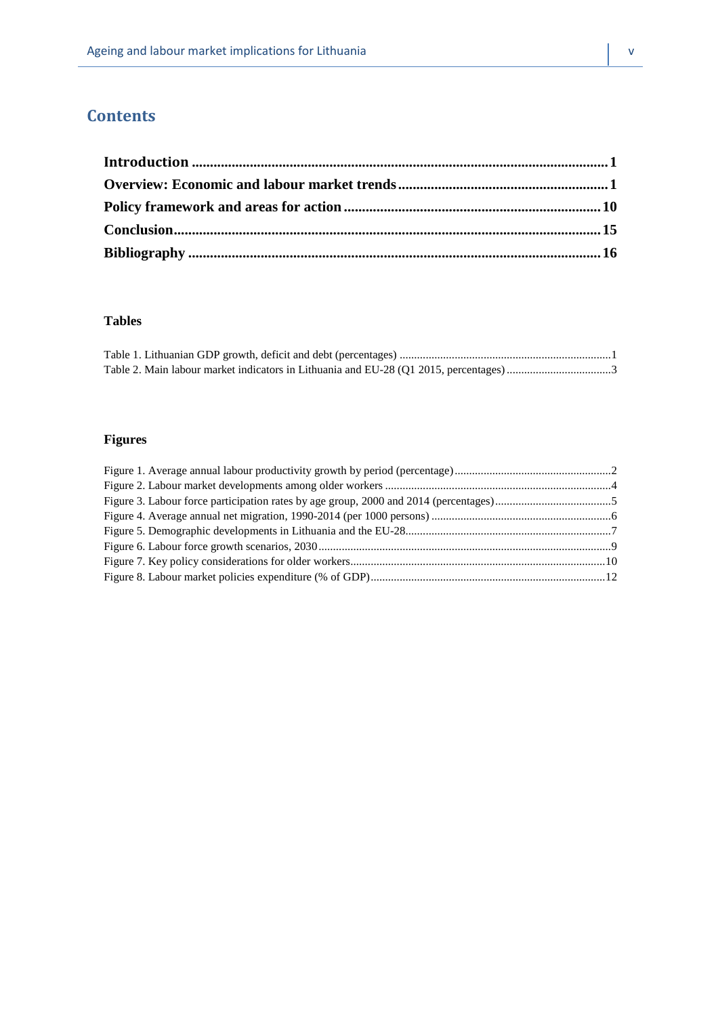# **Contents**

### **Tables**

# **Figures**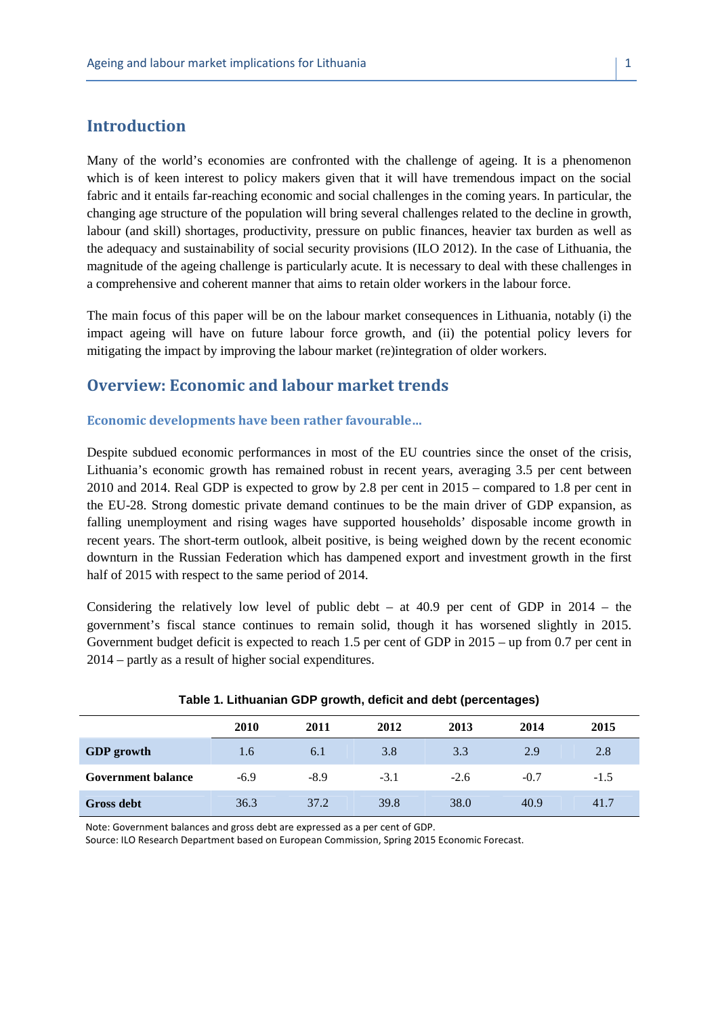# **Introduction**

Many of the world's economies are confronted with the challenge of ageing. It is a phenomenon which is of keen interest to policy makers given that it will have tremendous impact on the social fabric and it entails far-reaching economic and social challenges in the coming years. In particular, the changing age structure of the population will bring several challenges related to the decline in growth, labour (and skill) shortages, productivity, pressure on public finances, heavier tax burden as well as the adequacy and sustainability of social security provisions (ILO 2012). In the case of Lithuania, the magnitude of the ageing challenge is particularly acute. It is necessary to deal with these challenges in a comprehensive and coherent manner that aims to retain older workers in the labour force.

The main focus of this paper will be on the labour market consequences in Lithuania, notably (i) the impact ageing will have on future labour force growth, and (ii) the potential policy levers for mitigating the impact by improving the labour market (re)integration of older workers.

# **Overview: Economic and labour market trends**

#### **Economic developments have been rather favourable…**

Despite subdued economic performances in most of the EU countries since the onset of the crisis, Lithuania's economic growth has remained robust in recent years, averaging 3.5 per cent between 2010 and 2014. Real GDP is expected to grow by 2.8 per cent in 2015 – compared to 1.8 per cent in the EU-28. Strong domestic private demand continues to be the main driver of GDP expansion, as falling unemployment and rising wages have supported households' disposable income growth in recent years. The short-term outlook, albeit positive, is being weighed down by the recent economic downturn in the Russian Federation which has dampened export and investment growth in the first half of 2015 with respect to the same period of 2014.

Considering the relatively low level of public debt – at  $40.9$  per cent of GDP in  $2014$  – the government's fiscal stance continues to remain solid, though it has worsened slightly in 2015. Government budget deficit is expected to reach 1.5 per cent of GDP in 2015 – up from 0.7 per cent in 2014 – partly as a result of higher social expenditures.

|                           | 2010   | 2011   | 2012   | 2013   | 2014   | 2015   |
|---------------------------|--------|--------|--------|--------|--------|--------|
| <b>GDP</b> growth         | 1.6    | 6.1    | 3.8    | 3.3    | 2.9    | 2.8    |
| <b>Government balance</b> | $-6.9$ | $-8.9$ | $-3.1$ | $-2.6$ | $-0.7$ | $-1.5$ |
| Gross debt                | 36.3   | 37.2   | 39.8   | 38.0   | 40.9   | 41.7   |

#### **Table 1. Lithuanian GDP growth, deficit and debt (percentages)**

Note: Government balances and gross debt are expressed as a per cent of GDP.

Source: ILO Research Department based on European Commission, Spring 2015 Economic Forecast.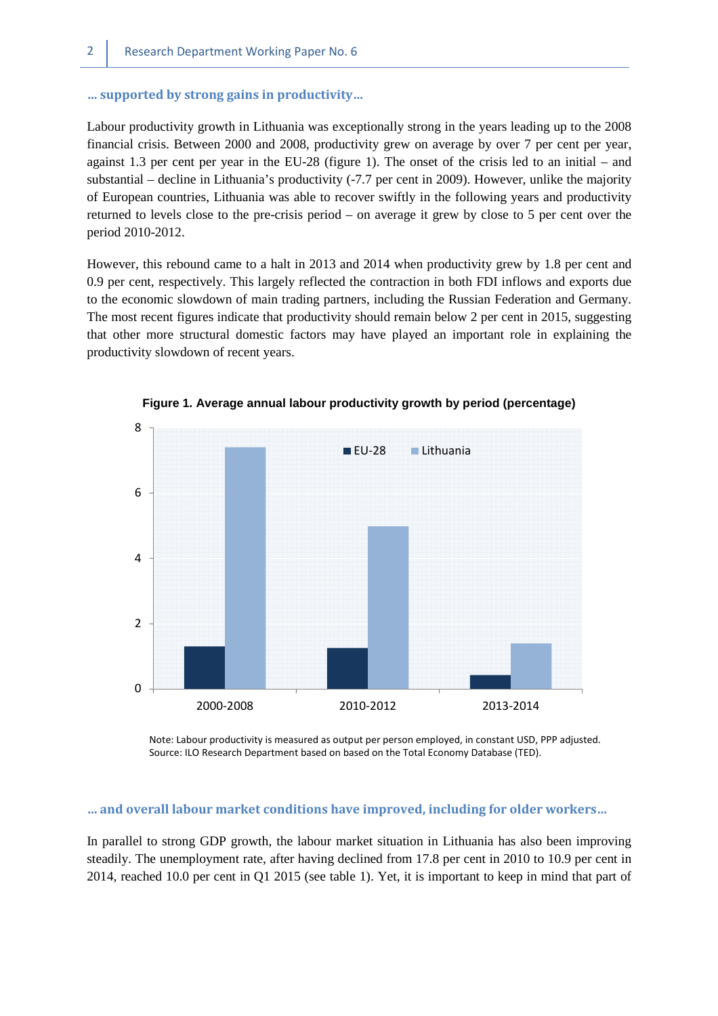#### **… supported by strong gains in productivity…**

Labour productivity growth in Lithuania was exceptionally strong in the years leading up to the 2008 financial crisis. Between 2000 and 2008, productivity grew on average by over 7 per cent per year, against 1.3 per cent per year in the EU-28 (figure 1). The onset of the crisis led to an initial – and substantial – decline in Lithuania's productivity (-7.7 per cent in 2009). However, unlike the majority of European countries, Lithuania was able to recover swiftly in the following years and productivity returned to levels close to the pre-crisis period – on average it grew by close to 5 per cent over the period 2010-2012.

However, this rebound came to a halt in 2013 and 2014 when productivity grew by 1.8 per cent and 0.9 per cent, respectively. This largely reflected the contraction in both FDI inflows and exports due to the economic slowdown of main trading partners, including the Russian Federation and Germany. The most recent figures indicate that productivity should remain below 2 per cent in 2015, suggesting that other more structural domestic factors may have played an important role in explaining the productivity slowdown of recent years.



**Figure 1. Average annual labour productivity growth by period (percentage)** 

Note: Labour productivity is measured as output per person employed, in constant USD, PPP adjusted. Source: ILO Research Department based on based on the Total Economy Database (TED).

#### **… and overall labour market conditions have improved, including for older workers…**

In parallel to strong GDP growth, the labour market situation in Lithuania has also been improving steadily. The unemployment rate, after having declined from 17.8 per cent in 2010 to 10.9 per cent in 2014, reached 10.0 per cent in Q1 2015 (see table 1). Yet, it is important to keep in mind that part of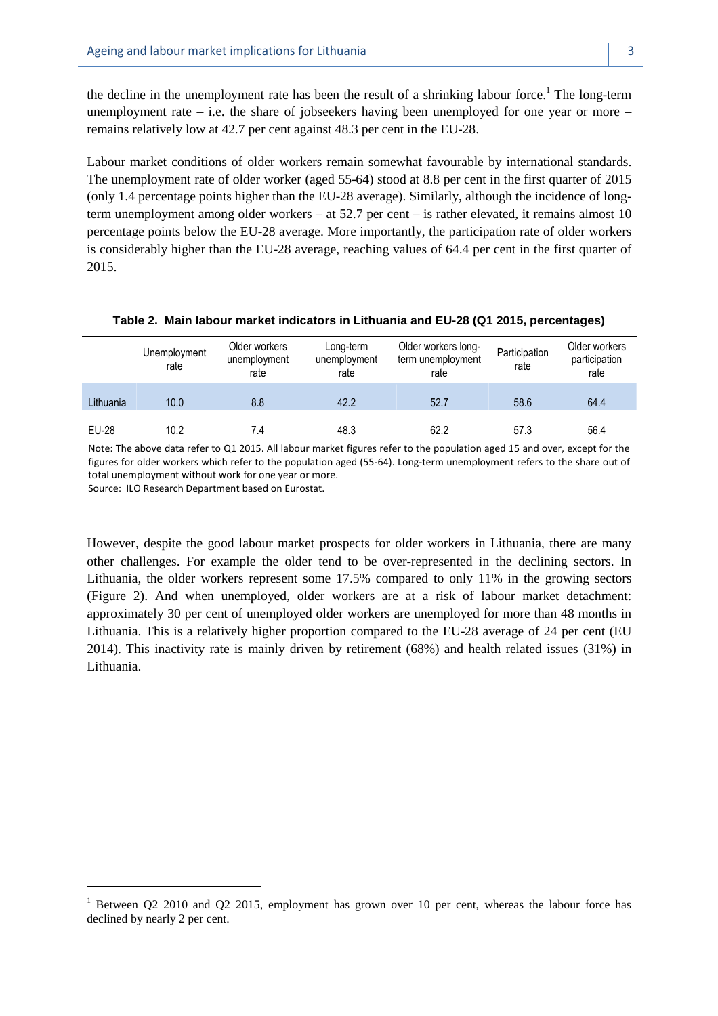the decline in the unemployment rate has been the result of a shrinking labour force.<sup>1</sup> The long-term unemployment rate – i.e. the share of jobseekers having been unemployed for one year or more – remains relatively low at 42.7 per cent against 48.3 per cent in the EU-28.

Labour market conditions of older workers remain somewhat favourable by international standards. The unemployment rate of older worker (aged 55-64) stood at 8.8 per cent in the first quarter of 2015 (only 1.4 percentage points higher than the EU-28 average). Similarly, although the incidence of longterm unemployment among older workers – at 52.7 per cent – is rather elevated, it remains almost 10 percentage points below the EU-28 average. More importantly, the participation rate of older workers is considerably higher than the EU-28 average, reaching values of 64.4 per cent in the first quarter of 2015.

|           | Unemployment<br>rate | Older workers<br>unemployment<br>rate | Long-term<br>unemployment<br>rate | Older workers long-<br>term unemployment<br>rate | Participation<br>rate | Older workers<br>participation<br>rate |
|-----------|----------------------|---------------------------------------|-----------------------------------|--------------------------------------------------|-----------------------|----------------------------------------|
| Lithuania | 10.0                 | 8.8                                   | 42.2                              | 52.7                                             | 58.6                  | 64.4                                   |
| EU-28     | 10.2                 | 7.4                                   | 48.3                              | 62.2                                             | 57.3                  | 56.4                                   |

#### **Table 2. Main labour market indicators in Lithuania and EU-28 (Q1 2015, percentages)**

Note: The above data refer to Q1 2015. All labour market figures refer to the population aged 15 and over, except for the figures for older workers which refer to the population aged (55-64). Long-term unemployment refers to the share out of total unemployment without work for one year or more.

Source: ILO Research Department based on Eurostat.

 $\overline{a}$ 

However, despite the good labour market prospects for older workers in Lithuania, there are many other challenges. For example the older tend to be over-represented in the declining sectors. In Lithuania, the older workers represent some 17.5% compared to only 11% in the growing sectors (Figure 2). And when unemployed, older workers are at a risk of labour market detachment: approximately 30 per cent of unemployed older workers are unemployed for more than 48 months in Lithuania. This is a relatively higher proportion compared to the EU-28 average of 24 per cent (EU 2014). This inactivity rate is mainly driven by retirement (68%) and health related issues (31%) in Lithuania.

<sup>&</sup>lt;sup>1</sup> Between Q2 2010 and Q2 2015, employment has grown over 10 per cent, whereas the labour force has declined by nearly 2 per cent.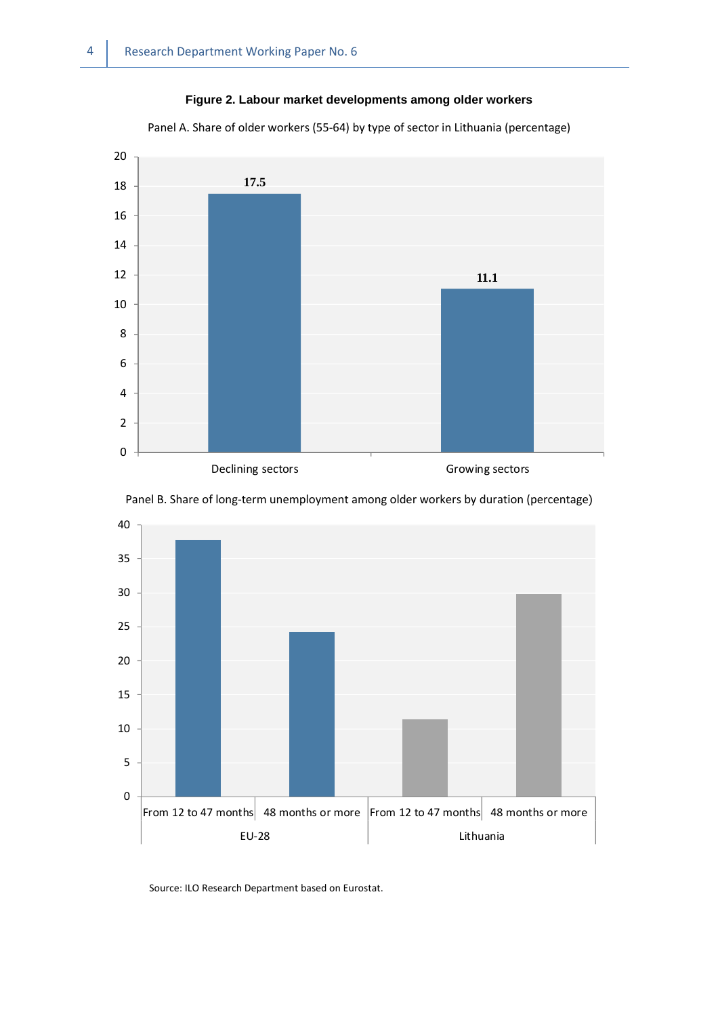# **Figure 2. Labour market developments among older workers**

Panel A. Share of older workers (55-64) by type of sector in Lithuania (percentage)







Source: ILO Research Department based on Eurostat.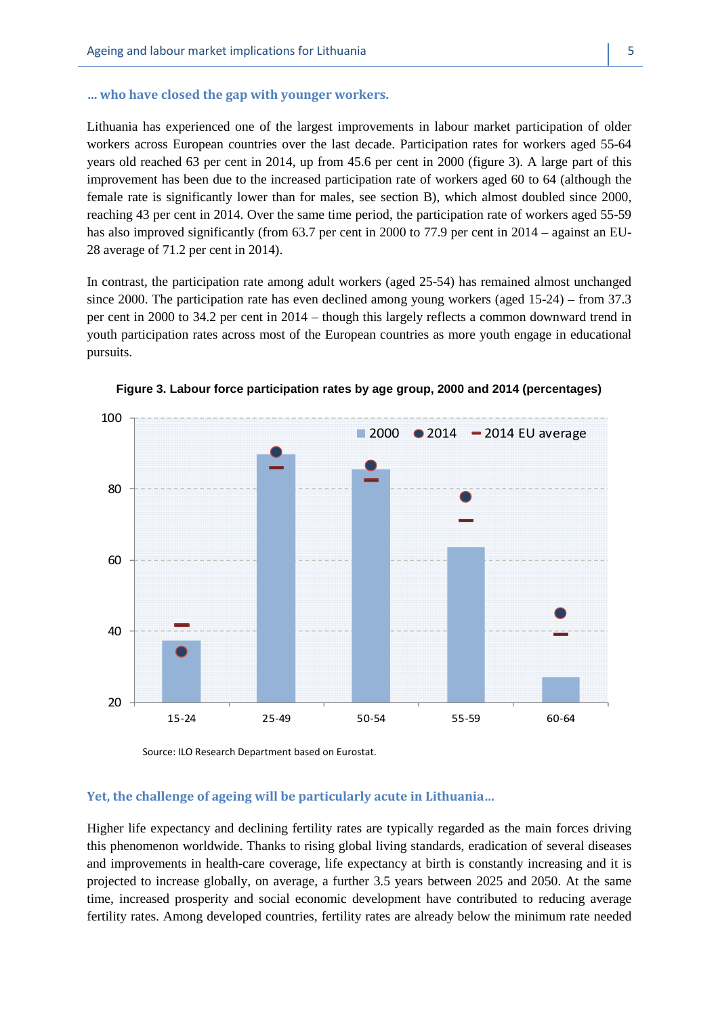#### **… who have closed the gap with younger workers.**

Lithuania has experienced one of the largest improvements in labour market participation of older workers across European countries over the last decade. Participation rates for workers aged 55-64 years old reached 63 per cent in 2014, up from 45.6 per cent in 2000 (figure 3). A large part of this improvement has been due to the increased participation rate of workers aged 60 to 64 (although the female rate is significantly lower than for males, see section B), which almost doubled since 2000, reaching 43 per cent in 2014. Over the same time period, the participation rate of workers aged 55-59 has also improved significantly (from 63.7 per cent in 2000 to 77.9 per cent in 2014 – against an EU-28 average of 71.2 per cent in 2014).

In contrast, the participation rate among adult workers (aged 25-54) has remained almost unchanged since 2000. The participation rate has even declined among young workers (aged 15-24) – from 37.3 per cent in 2000 to 34.2 per cent in 2014 – though this largely reflects a common downward trend in youth participation rates across most of the European countries as more youth engage in educational pursuits.



**Figure 3. Labour force participation rates by age group, 2000 and 2014 (percentages)**

Source: ILO Research Department based on Eurostat.

#### **Yet, the challenge of ageing will be particularly acute in Lithuania…**

Higher life expectancy and declining fertility rates are typically regarded as the main forces driving this phenomenon worldwide. Thanks to rising global living standards, eradication of several diseases and improvements in health-care coverage, life expectancy at birth is constantly increasing and it is projected to increase globally, on average, a further 3.5 years between 2025 and 2050. At the same time, increased prosperity and social economic development have contributed to reducing average fertility rates. Among developed countries, fertility rates are already below the minimum rate needed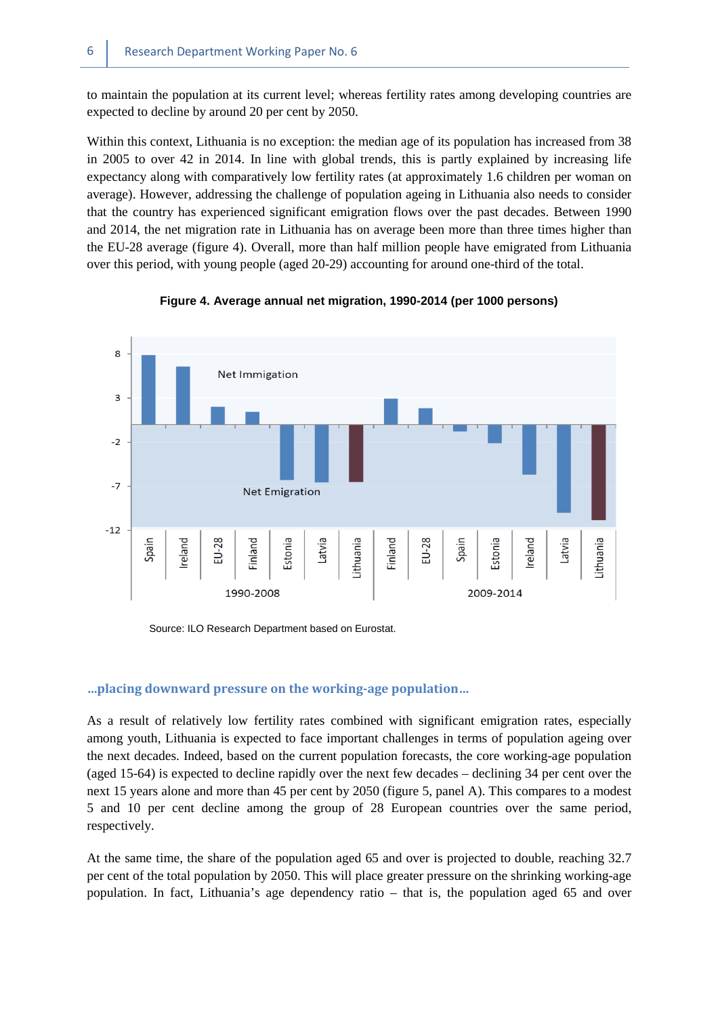to maintain the population at its current level; whereas fertility rates among developing countries are expected to decline by around 20 per cent by 2050.

Within this context, Lithuania is no exception: the median age of its population has increased from 38 in 2005 to over 42 in 2014. In line with global trends, this is partly explained by increasing life expectancy along with comparatively low fertility rates (at approximately 1.6 children per woman on average). However, addressing the challenge of population ageing in Lithuania also needs to consider that the country has experienced significant emigration flows over the past decades. Between 1990 and 2014, the net migration rate in Lithuania has on average been more than three times higher than the EU-28 average (figure 4). Overall, more than half million people have emigrated from Lithuania over this period, with young people (aged 20-29) accounting for around one-third of the total.

![](_page_13_Figure_3.jpeg)

#### **Figure 4. Average annual net migration, 1990-2014 (per 1000 persons)**

Source: ILO Research Department based on Eurostat.

#### **…placing downward pressure on the working-age population…**

As a result of relatively low fertility rates combined with significant emigration rates, especially among youth, Lithuania is expected to face important challenges in terms of population ageing over the next decades. Indeed, based on the current population forecasts, the core working-age population (aged 15-64) is expected to decline rapidly over the next few decades – declining 34 per cent over the next 15 years alone and more than 45 per cent by 2050 (figure 5, panel A). This compares to a modest 5 and 10 per cent decline among the group of 28 European countries over the same period, respectively.

At the same time, the share of the population aged 65 and over is projected to double, reaching 32.7 per cent of the total population by 2050. This will place greater pressure on the shrinking working-age population. In fact, Lithuania's age dependency ratio – that is, the population aged 65 and over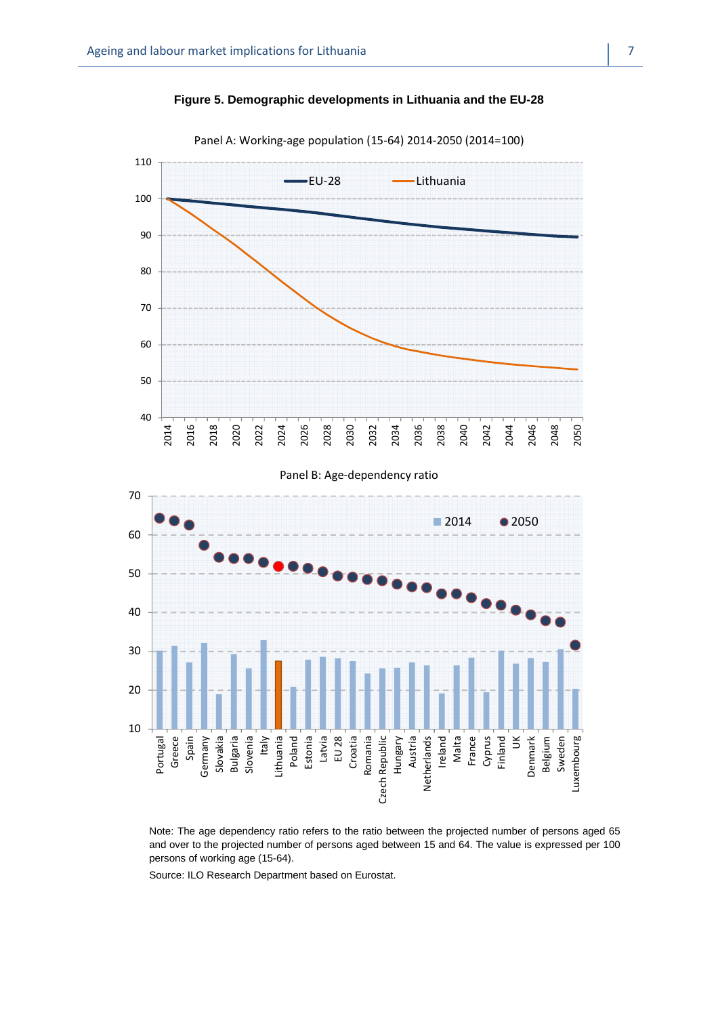![](_page_14_Figure_1.jpeg)

![](_page_14_Figure_2.jpeg)

Panel A: Working-age population (15-64) 2014-2050 (2014=100)

![](_page_14_Figure_4.jpeg)

Note: The age dependency ratio refers to the ratio between the projected number of persons aged 65 and over to the projected number of persons aged between 15 and 64. The value is expressed per 100 persons of working age (15-64).

Source: ILO Research Department based on Eurostat.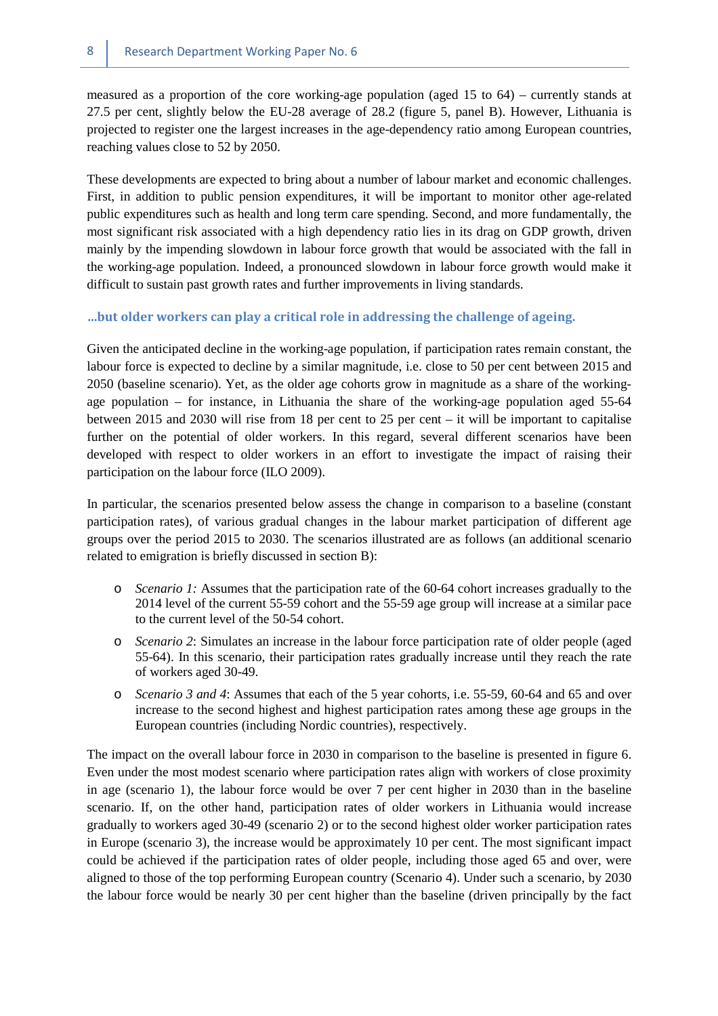measured as a proportion of the core working-age population (aged 15 to 64) – currently stands at 27.5 per cent, slightly below the EU-28 average of 28.2 (figure 5, panel B). However, Lithuania is projected to register one the largest increases in the age-dependency ratio among European countries, reaching values close to 52 by 2050.

These developments are expected to bring about a number of labour market and economic challenges. First, in addition to public pension expenditures, it will be important to monitor other age-related public expenditures such as health and long term care spending. Second, and more fundamentally, the most significant risk associated with a high dependency ratio lies in its drag on GDP growth, driven mainly by the impending slowdown in labour force growth that would be associated with the fall in the working-age population. Indeed, a pronounced slowdown in labour force growth would make it difficult to sustain past growth rates and further improvements in living standards.

#### **…but older workers can play a critical role in addressing the challenge of ageing.**

Given the anticipated decline in the working-age population, if participation rates remain constant, the labour force is expected to decline by a similar magnitude, i.e. close to 50 per cent between 2015 and 2050 (baseline scenario). Yet, as the older age cohorts grow in magnitude as a share of the workingage population – for instance, in Lithuania the share of the working-age population aged 55-64 between 2015 and 2030 will rise from 18 per cent to 25 per cent – it will be important to capitalise further on the potential of older workers. In this regard, several different scenarios have been developed with respect to older workers in an effort to investigate the impact of raising their participation on the labour force (ILO 2009).

In particular, the scenarios presented below assess the change in comparison to a baseline (constant participation rates), of various gradual changes in the labour market participation of different age groups over the period 2015 to 2030. The scenarios illustrated are as follows (an additional scenario related to emigration is briefly discussed in section B):

- o *Scenario 1:* Assumes that the participation rate of the 60-64 cohort increases gradually to the 2014 level of the current 55-59 cohort and the 55-59 age group will increase at a similar pace to the current level of the 50-54 cohort.
- o *Scenario 2*: Simulates an increase in the labour force participation rate of older people (aged 55-64). In this scenario, their participation rates gradually increase until they reach the rate of workers aged 30-49.
- o *Scenario 3 and 4*: Assumes that each of the 5 year cohorts, i.e. 55-59, 60-64 and 65 and over increase to the second highest and highest participation rates among these age groups in the European countries (including Nordic countries), respectively.

The impact on the overall labour force in 2030 in comparison to the baseline is presented in figure 6. Even under the most modest scenario where participation rates align with workers of close proximity in age (scenario 1), the labour force would be over 7 per cent higher in 2030 than in the baseline scenario. If, on the other hand, participation rates of older workers in Lithuania would increase gradually to workers aged 30-49 (scenario 2) or to the second highest older worker participation rates in Europe (scenario 3), the increase would be approximately 10 per cent. The most significant impact could be achieved if the participation rates of older people, including those aged 65 and over, were aligned to those of the top performing European country (Scenario 4). Under such a scenario, by 2030 the labour force would be nearly 30 per cent higher than the baseline (driven principally by the fact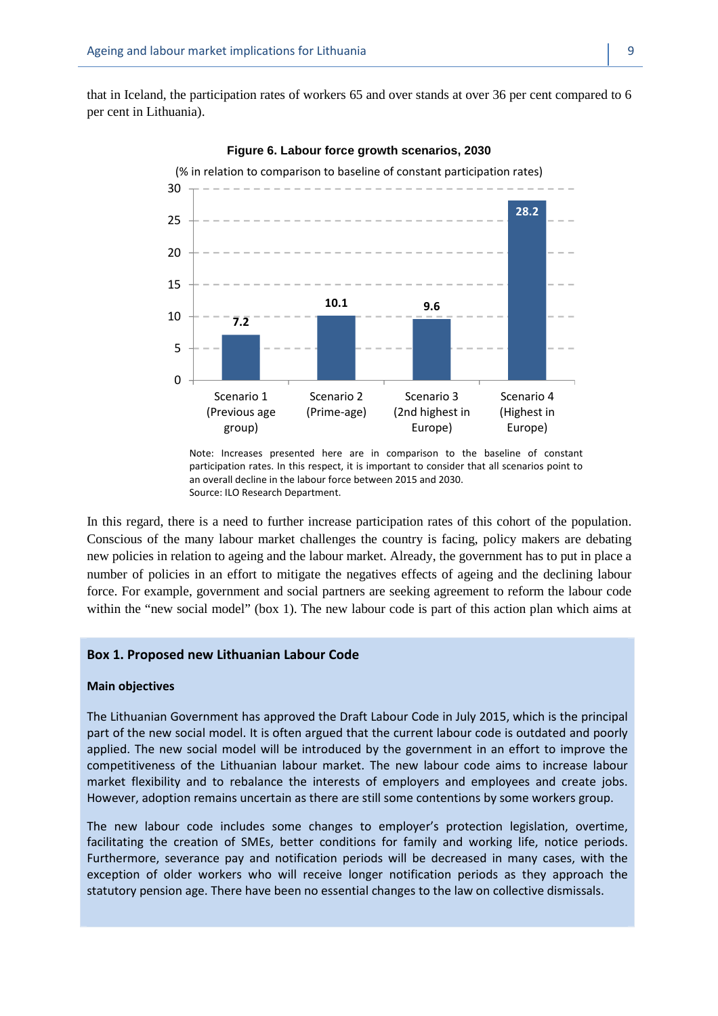that in Iceland, the participation rates of workers 65 and over stands at over 36 per cent compared to 6 per cent in Lithuania).

![](_page_16_Figure_2.jpeg)

**Figure 6. Labour force growth scenarios, 2030** 

In this regard, there is a need to further increase participation rates of this cohort of the population. Conscious of the many labour market challenges the country is facing, policy makers are debating new policies in relation to ageing and the labour market. Already, the government has to put in place a number of policies in an effort to mitigate the negatives effects of ageing and the declining labour force. For example, government and social partners are seeking agreement to reform the labour code within the "new social model" (box 1). The new labour code is part of this action plan which aims at

#### **Box 1. Proposed new Lithuanian Labour Code**

#### **Main objectives**

The Lithuanian Government has approved the Draft Labour Code in July 2015, which is the principal part of the new social model. It is often argued that the current labour code is outdated and poorly applied. The new social model will be introduced by the government in an effort to improve the competitiveness of the Lithuanian labour market. The new labour code aims to increase labour market flexibility and to rebalance the interests of employers and employees and create jobs. However, adoption remains uncertain as there are still some contentions by some workers group.

The new labour code includes some changes to employer's protection legislation, overtime, facilitating the creation of SMEs, better conditions for family and working life, notice periods. Furthermore, severance pay and notification periods will be decreased in many cases, with the exception of older workers who will receive longer notification periods as they approach the statutory pension age. There have been no essential changes to the law on collective dismissals.

Note: Increases presented here are in comparison to the baseline of constant participation rates. In this respect, it is important to consider that all scenarios point to an overall decline in the labour force between 2015 and 2030. Source: ILO Research Department.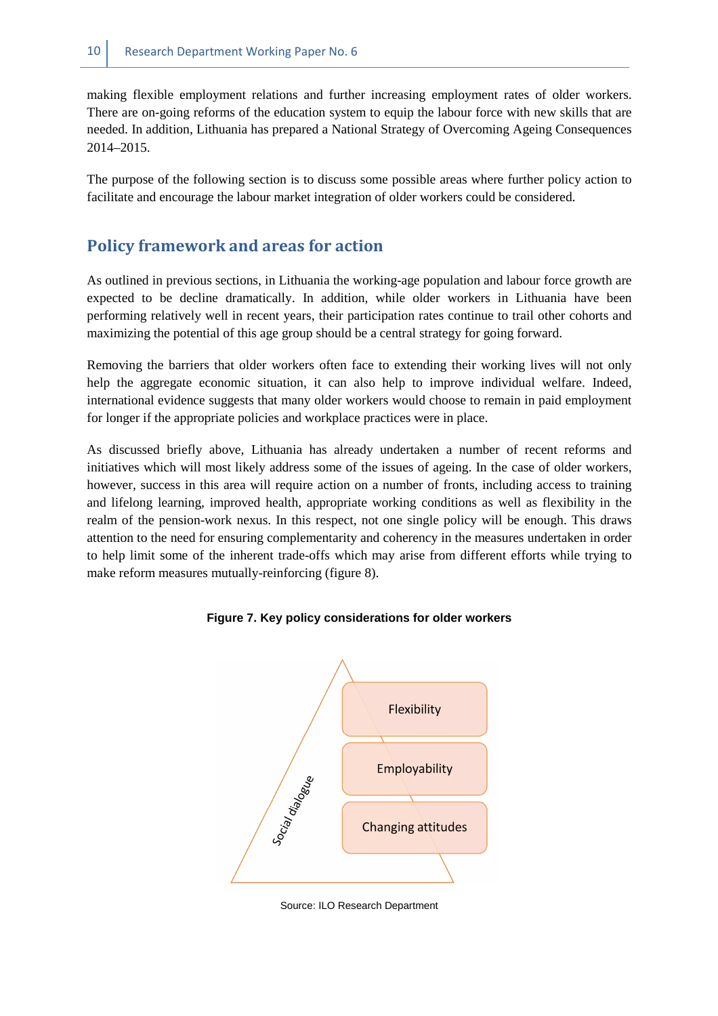making flexible employment relations and further increasing employment rates of older workers. There are on-going reforms of the education system to equip the labour force with new skills that are needed. In addition, Lithuania has prepared a National Strategy of Overcoming Ageing Consequences 2014–2015.

The purpose of the following section is to discuss some possible areas where further policy action to facilitate and encourage the labour market integration of older workers could be considered.

# **Policy framework and areas for action**

As outlined in previous sections, in Lithuania the working-age population and labour force growth are expected to be decline dramatically. In addition, while older workers in Lithuania have been performing relatively well in recent years, their participation rates continue to trail other cohorts and maximizing the potential of this age group should be a central strategy for going forward.

Removing the barriers that older workers often face to extending their working lives will not only help the aggregate economic situation, it can also help to improve individual welfare. Indeed, international evidence suggests that many older workers would choose to remain in paid employment for longer if the appropriate policies and workplace practices were in place.

As discussed briefly above, Lithuania has already undertaken a number of recent reforms and initiatives which will most likely address some of the issues of ageing. In the case of older workers, however, success in this area will require action on a number of fronts, including access to training and lifelong learning, improved health, appropriate working conditions as well as flexibility in the realm of the pension-work nexus. In this respect, not one single policy will be enough. This draws attention to the need for ensuring complementarity and coherency in the measures undertaken in order to help limit some of the inherent trade-offs which may arise from different efforts while trying to make reform measures mutually-reinforcing (figure 8).

![](_page_17_Figure_7.jpeg)

**Figure 7. Key policy considerations for older workers** 

Source: ILO Research Department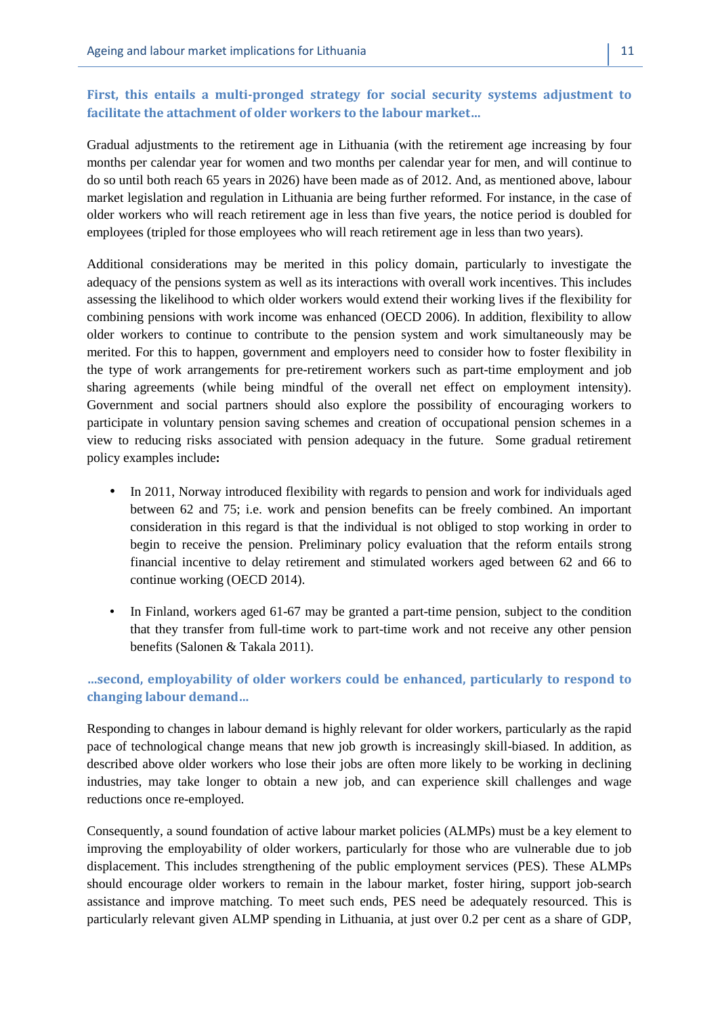# **First, this entails a multi-pronged strategy for social security systems adjustment to facilitate the attachment of older workers to the labour market…**

Gradual adjustments to the retirement age in Lithuania (with the retirement age increasing by four months per calendar year for women and two months per calendar year for men, and will continue to do so until both reach 65 years in 2026) have been made as of 2012. And, as mentioned above, labour market legislation and regulation in Lithuania are being further reformed. For instance, in the case of older workers who will reach retirement age in less than five years, the notice period is doubled for employees (tripled for those employees who will reach retirement age in less than two years).

Additional considerations may be merited in this policy domain, particularly to investigate the adequacy of the pensions system as well as its interactions with overall work incentives. This includes assessing the likelihood to which older workers would extend their working lives if the flexibility for combining pensions with work income was enhanced (OECD 2006). In addition, flexibility to allow older workers to continue to contribute to the pension system and work simultaneously may be merited. For this to happen, government and employers need to consider how to foster flexibility in the type of work arrangements for pre-retirement workers such as part-time employment and job sharing agreements (while being mindful of the overall net effect on employment intensity). Government and social partners should also explore the possibility of encouraging workers to participate in voluntary pension saving schemes and creation of occupational pension schemes in a view to reducing risks associated with pension adequacy in the future. Some gradual retirement policy examples include**:** 

- In 2011, Norway introduced flexibility with regards to pension and work for individuals aged between 62 and 75; i.e. work and pension benefits can be freely combined. An important consideration in this regard is that the individual is not obliged to stop working in order to begin to receive the pension. Preliminary policy evaluation that the reform entails strong financial incentive to delay retirement and stimulated workers aged between 62 and 66 to continue working (OECD 2014).
- In Finland, workers aged 61-67 may be granted a part-time pension, subject to the condition that they transfer from full-time work to part-time work and not receive any other pension benefits (Salonen & Takala 2011).

## **…second, employability of older workers could be enhanced, particularly to respond to changing labour demand…**

Responding to changes in labour demand is highly relevant for older workers, particularly as the rapid pace of technological change means that new job growth is increasingly skill-biased. In addition, as described above older workers who lose their jobs are often more likely to be working in declining industries, may take longer to obtain a new job, and can experience skill challenges and wage reductions once re-employed.

Consequently, a sound foundation of active labour market policies (ALMPs) must be a key element to improving the employability of older workers, particularly for those who are vulnerable due to job displacement. This includes strengthening of the public employment services (PES). These ALMPs should encourage older workers to remain in the labour market, foster hiring, support job-search assistance and improve matching. To meet such ends, PES need be adequately resourced. This is particularly relevant given ALMP spending in Lithuania, at just over 0.2 per cent as a share of GDP,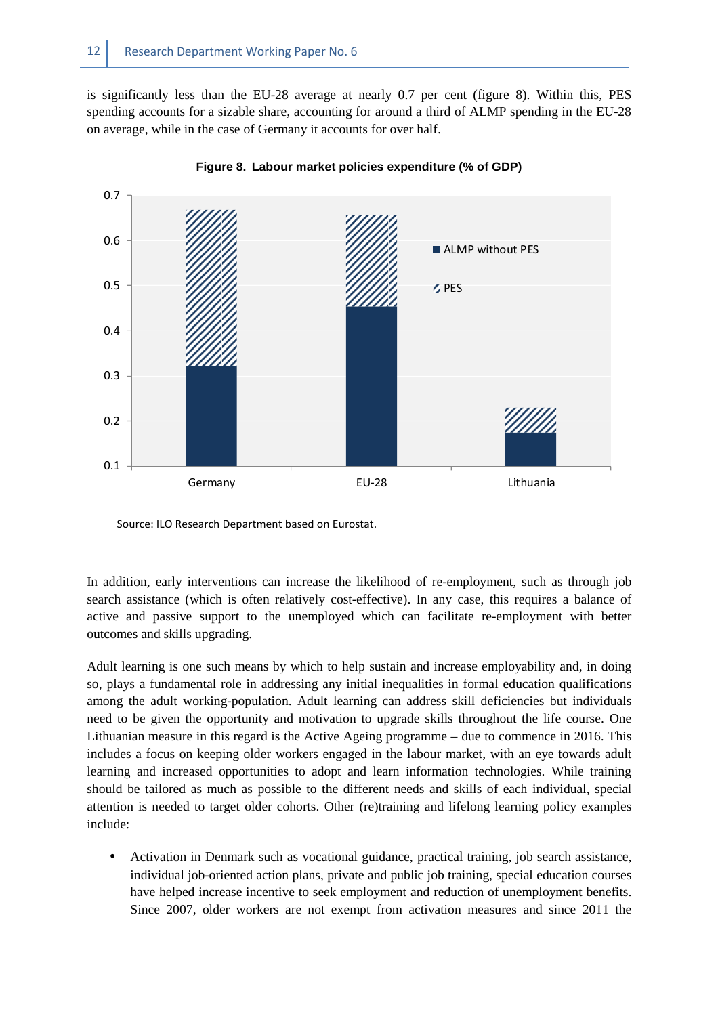is significantly less than the EU-28 average at nearly 0.7 per cent (figure 8). Within this, PES spending accounts for a sizable share, accounting for around a third of ALMP spending in the EU-28 on average, while in the case of Germany it accounts for over half.

![](_page_19_Figure_2.jpeg)

**Figure 8. Labour market policies expenditure (% of GDP)** 

Source: ILO Research Department based on Eurostat.

In addition, early interventions can increase the likelihood of re-employment, such as through job search assistance (which is often relatively cost-effective). In any case, this requires a balance of active and passive support to the unemployed which can facilitate re-employment with better outcomes and skills upgrading.

Adult learning is one such means by which to help sustain and increase employability and, in doing so, plays a fundamental role in addressing any initial inequalities in formal education qualifications among the adult working-population. Adult learning can address skill deficiencies but individuals need to be given the opportunity and motivation to upgrade skills throughout the life course. One Lithuanian measure in this regard is the Active Ageing programme – due to commence in 2016. This includes a focus on keeping older workers engaged in the labour market, with an eye towards adult learning and increased opportunities to adopt and learn information technologies. While training should be tailored as much as possible to the different needs and skills of each individual, special attention is needed to target older cohorts. Other (re)training and lifelong learning policy examples include:

• Activation in Denmark such as vocational guidance, practical training, job search assistance, individual job-oriented action plans, private and public job training, special education courses have helped increase incentive to seek employment and reduction of unemployment benefits. Since 2007, older workers are not exempt from activation measures and since 2011 the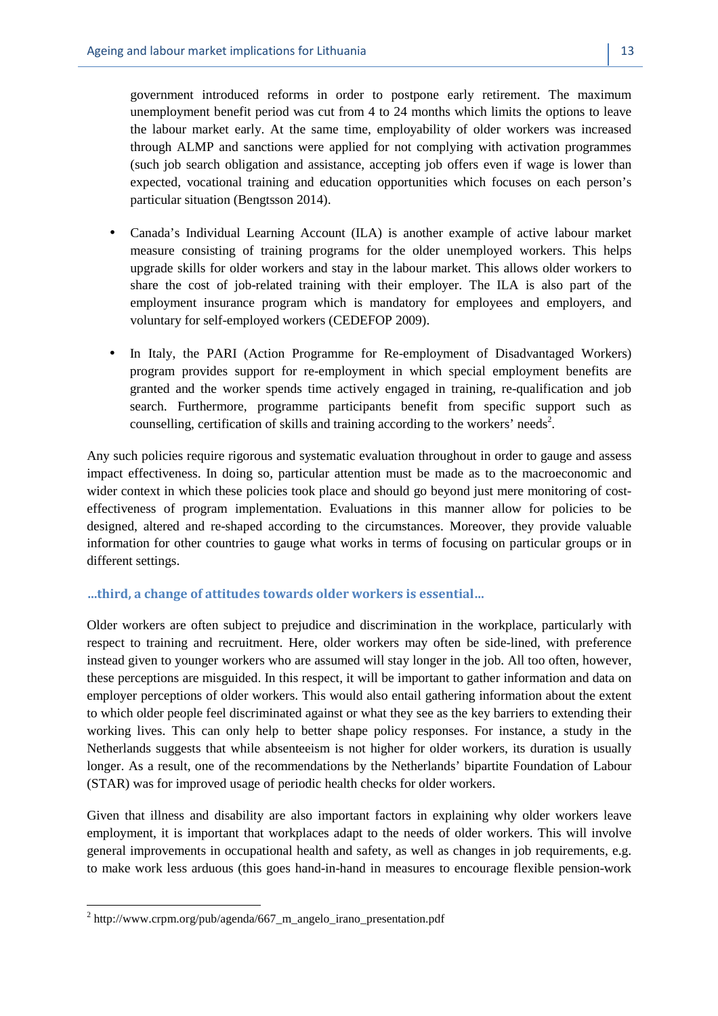- Canada's Individual Learning Account (ILA) is another example of active labour market measure consisting of training programs for the older unemployed workers. This helps upgrade skills for older workers and stay in the labour market. This allows older workers to share the cost of job-related training with their employer. The ILA is also part of the employment insurance program which is mandatory for employees and employers, and voluntary for self-employed workers (CEDEFOP 2009).
- In Italy, the PARI (Action Programme for Re-employment of Disadvantaged Workers) program provides support for re-employment in which special employment benefits are granted and the worker spends time actively engaged in training, re-qualification and job search. Furthermore, programme participants benefit from specific support such as counselling, certification of skills and training according to the workers' needs<sup>2</sup>.

Any such policies require rigorous and systematic evaluation throughout in order to gauge and assess impact effectiveness. In doing so, particular attention must be made as to the macroeconomic and wider context in which these policies took place and should go beyond just mere monitoring of costeffectiveness of program implementation. Evaluations in this manner allow for policies to be designed, altered and re-shaped according to the circumstances. Moreover, they provide valuable information for other countries to gauge what works in terms of focusing on particular groups or in different settings.

#### **…third, a change of attitudes towards older workers is essential…**

Older workers are often subject to prejudice and discrimination in the workplace, particularly with respect to training and recruitment. Here, older workers may often be side-lined, with preference instead given to younger workers who are assumed will stay longer in the job. All too often, however, these perceptions are misguided. In this respect, it will be important to gather information and data on employer perceptions of older workers. This would also entail gathering information about the extent to which older people feel discriminated against or what they see as the key barriers to extending their working lives. This can only help to better shape policy responses. For instance, a study in the Netherlands suggests that while absenteeism is not higher for older workers, its duration is usually longer. As a result, one of the recommendations by the Netherlands' bipartite Foundation of Labour (STAR) was for improved usage of periodic health checks for older workers.

Given that illness and disability are also important factors in explaining why older workers leave employment, it is important that workplaces adapt to the needs of older workers. This will involve general improvements in occupational health and safety, as well as changes in job requirements, e.g. to make work less arduous (this goes hand-in-hand in measures to encourage flexible pension-work

 $\overline{a}$ 

<sup>&</sup>lt;sup>2</sup> http://www.crpm.org/pub/agenda/667\_m\_angelo\_irano\_presentation.pdf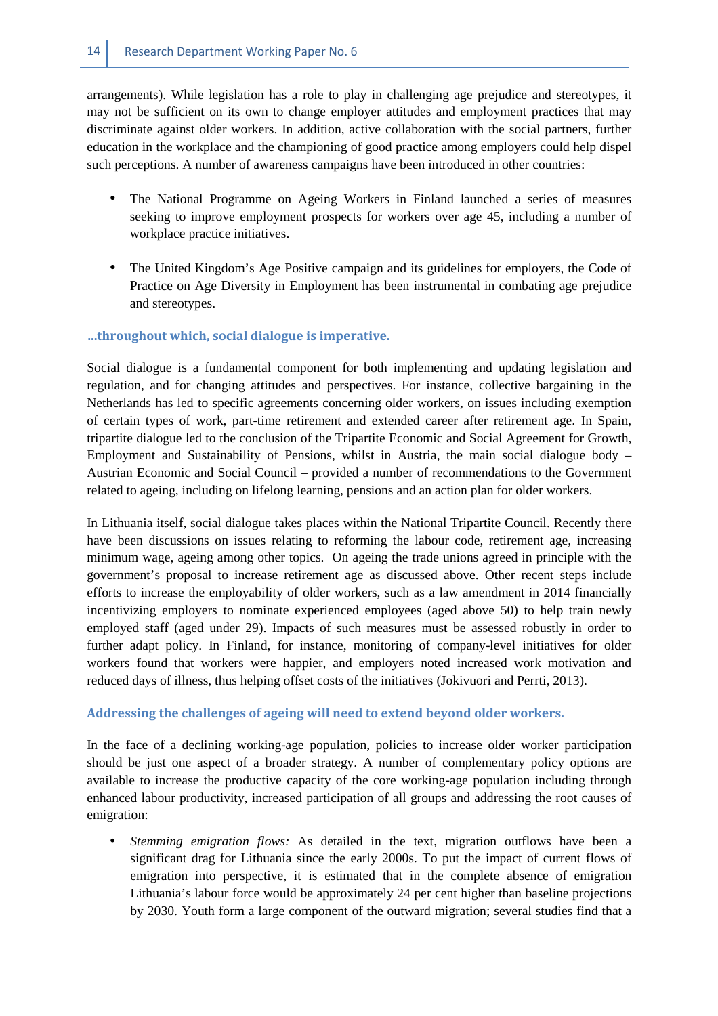arrangements). While legislation has a role to play in challenging age prejudice and stereotypes, it may not be sufficient on its own to change employer attitudes and employment practices that may discriminate against older workers. In addition, active collaboration with the social partners, further education in the workplace and the championing of good practice among employers could help dispel such perceptions. A number of awareness campaigns have been introduced in other countries:

- The National Programme on Ageing Workers in Finland launched a series of measures seeking to improve employment prospects for workers over age 45, including a number of workplace practice initiatives.
- The United Kingdom's Age Positive campaign and its guidelines for employers, the Code of Practice on Age Diversity in Employment has been instrumental in combating age prejudice and stereotypes.

#### **…throughout which, social dialogue is imperative.**

Social dialogue is a fundamental component for both implementing and updating legislation and regulation, and for changing attitudes and perspectives. For instance, collective bargaining in the Netherlands has led to specific agreements concerning older workers, on issues including exemption of certain types of work, part-time retirement and extended career after retirement age. In Spain, tripartite dialogue led to the conclusion of the Tripartite Economic and Social Agreement for Growth, Employment and Sustainability of Pensions, whilst in Austria, the main social dialogue body – Austrian Economic and Social Council – provided a number of recommendations to the Government related to ageing, including on lifelong learning, pensions and an action plan for older workers.

In Lithuania itself, social dialogue takes places within the National Tripartite Council. Recently there have been discussions on issues relating to reforming the labour code, retirement age, increasing minimum wage, ageing among other topics. On ageing the trade unions agreed in principle with the government's proposal to increase retirement age as discussed above. Other recent steps include efforts to increase the employability of older workers, such as a law amendment in 2014 financially incentivizing employers to nominate experienced employees (aged above 50) to help train newly employed staff (aged under 29). Impacts of such measures must be assessed robustly in order to further adapt policy. In Finland, for instance, monitoring of company-level initiatives for older workers found that workers were happier, and employers noted increased work motivation and reduced days of illness, thus helping offset costs of the initiatives (Jokivuori and Perrti, 2013).

#### **Addressing the challenges of ageing will need to extend beyond older workers.**

In the face of a declining working-age population, policies to increase older worker participation should be just one aspect of a broader strategy. A number of complementary policy options are available to increase the productive capacity of the core working-age population including through enhanced labour productivity, increased participation of all groups and addressing the root causes of emigration:

• *Stemming emigration flows:* As detailed in the text, migration outflows have been a significant drag for Lithuania since the early 2000s. To put the impact of current flows of emigration into perspective, it is estimated that in the complete absence of emigration Lithuania's labour force would be approximately 24 per cent higher than baseline projections by 2030. Youth form a large component of the outward migration; several studies find that a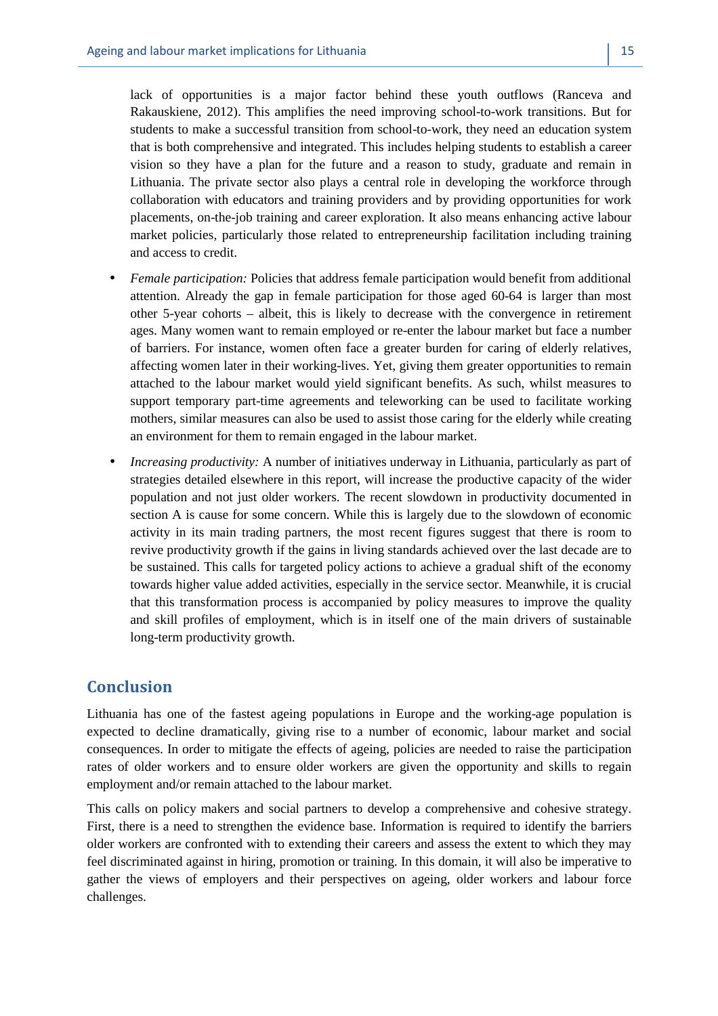lack of opportunities is a major factor behind these youth outflows (Ranceva and Rakauskiene, 2012). This amplifies the need improving school-to-work transitions. But for students to make a successful transition from school-to-work, they need an education system that is both comprehensive and integrated. This includes helping students to establish a career vision so they have a plan for the future and a reason to study, graduate and remain in Lithuania. The private sector also plays a central role in developing the workforce through collaboration with educators and training providers and by providing opportunities for work placements, on-the-job training and career exploration. It also means enhancing active labour market policies, particularly those related to entrepreneurship facilitation including training and access to credit.

- *Female participation:* Policies that address female participation would benefit from additional attention. Already the gap in female participation for those aged 60-64 is larger than most other 5-year cohorts – albeit, this is likely to decrease with the convergence in retirement ages. Many women want to remain employed or re-enter the labour market but face a number of barriers. For instance, women often face a greater burden for caring of elderly relatives, affecting women later in their working-lives. Yet, giving them greater opportunities to remain attached to the labour market would yield significant benefits. As such, whilst measures to support temporary part-time agreements and teleworking can be used to facilitate working mothers, similar measures can also be used to assist those caring for the elderly while creating an environment for them to remain engaged in the labour market.
- *Increasing productivity:* A number of initiatives underway in Lithuania, particularly as part of strategies detailed elsewhere in this report, will increase the productive capacity of the wider population and not just older workers. The recent slowdown in productivity documented in section A is cause for some concern. While this is largely due to the slowdown of economic activity in its main trading partners, the most recent figures suggest that there is room to revive productivity growth if the gains in living standards achieved over the last decade are to be sustained. This calls for targeted policy actions to achieve a gradual shift of the economy towards higher value added activities, especially in the service sector. Meanwhile, it is crucial that this transformation process is accompanied by policy measures to improve the quality and skill profiles of employment, which is in itself one of the main drivers of sustainable long-term productivity growth.

# **Conclusion**

Lithuania has one of the fastest ageing populations in Europe and the working-age population is expected to decline dramatically, giving rise to a number of economic, labour market and social consequences. In order to mitigate the effects of ageing, policies are needed to raise the participation rates of older workers and to ensure older workers are given the opportunity and skills to regain employment and/or remain attached to the labour market.

This calls on policy makers and social partners to develop a comprehensive and cohesive strategy. First, there is a need to strengthen the evidence base. Information is required to identify the barriers older workers are confronted with to extending their careers and assess the extent to which they may feel discriminated against in hiring, promotion or training. In this domain, it will also be imperative to gather the views of employers and their perspectives on ageing, older workers and labour force challenges.